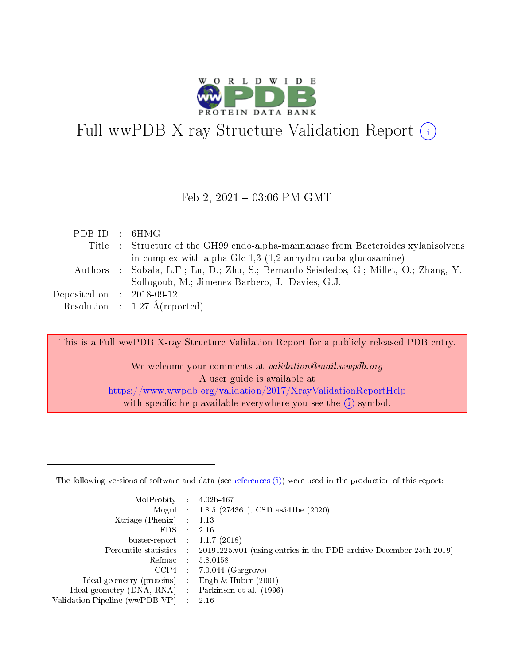

# Full wwPDB X-ray Structure Validation Report  $(i)$

#### Feb 2,  $2021 - 03:06$  PM GMT

| PDBID : 6HMG                |                                                                                         |
|-----------------------------|-----------------------------------------------------------------------------------------|
|                             | Title : Structure of the GH99 endo-alpha-mannanase from Bacteroides xylanisolvens       |
|                             | in complex with alpha-Glc-1,3- $(1,2$ -anhydro-carba-glucosamine)                       |
|                             | Authors : Sobala, L.F.; Lu, D.; Zhu, S.; Bernardo-Seisdedos, G.; Millet, O.; Zhang, Y.; |
|                             | Sollogoub, M.; Jimenez-Barbero, J.; Davies, G.J.                                        |
| Deposited on : $2018-09-12$ |                                                                                         |
|                             | Resolution : $1.27 \text{ Å}$ (reported)                                                |

This is a Full wwPDB X-ray Structure Validation Report for a publicly released PDB entry.

We welcome your comments at validation@mail.wwpdb.org A user guide is available at <https://www.wwpdb.org/validation/2017/XrayValidationReportHelp> with specific help available everywhere you see the  $(i)$  symbol.

The following versions of software and data (see [references](https://www.wwpdb.org/validation/2017/XrayValidationReportHelp#references)  $(1)$ ) were used in the production of this report:

| MolProbity :                   |   | $4.02b - 467$                                                               |
|--------------------------------|---|-----------------------------------------------------------------------------|
|                                |   | Mogul : $1.8.5$ (274361), CSD as 541be (2020)                               |
| $X$ triage (Phenix) :          |   | 1.13                                                                        |
| EDS.                           |   | 2.16                                                                        |
| buster-report : $1.1.7$ (2018) |   |                                                                             |
| Percentile statistics :        |   | $20191225 \text{v}01$ (using entries in the PDB archive December 25th 2019) |
| Refmac :                       |   | 5.8.0158                                                                    |
| $CCP4$ :                       |   | $7.0.044$ (Gargrove)                                                        |
| Ideal geometry (proteins) :    |   | Engh $\&$ Huber (2001)                                                      |
| Ideal geometry (DNA, RNA) :    |   | Parkinson et al. (1996)                                                     |
| Validation Pipeline (wwPDB-VP) | ÷ | 2.16                                                                        |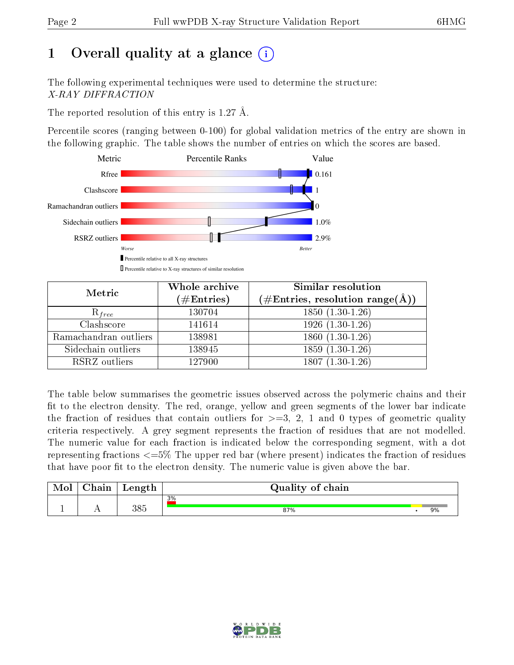# 1 [O](https://www.wwpdb.org/validation/2017/XrayValidationReportHelp#overall_quality)verall quality at a glance  $(i)$

The following experimental techniques were used to determine the structure: X-RAY DIFFRACTION

The reported resolution of this entry is 1.27 Å.

Percentile scores (ranging between 0-100) for global validation metrics of the entry are shown in the following graphic. The table shows the number of entries on which the scores are based.



| Metric                | Whole archive        | Similar resolution                                        |
|-----------------------|----------------------|-----------------------------------------------------------|
|                       | $(\#\text{Entries})$ | $(\#\text{Entries}, \text{resolution range}(\text{\AA}))$ |
| $R_{free}$            | 130704               | $1850(1.30-1.26)$                                         |
| Clashscore            | 141614               | $1926(1.30-1.26)$                                         |
| Ramachandran outliers | 138981               | $1860(1.30-1.26)$                                         |
| Sidechain outliers    | 138945               | $1859(1.30-1.26)$                                         |
| RSRZ outliers         | 127900               | $1807(1.30-1.26)$                                         |

The table below summarises the geometric issues observed across the polymeric chains and their fit to the electron density. The red, orange, yellow and green segments of the lower bar indicate the fraction of residues that contain outliers for  $\geq=3$ , 2, 1 and 0 types of geometric quality criteria respectively. A grey segment represents the fraction of residues that are not modelled. The numeric value for each fraction is indicated below the corresponding segment, with a dot representing fractions <=5% The upper red bar (where present) indicates the fraction of residues that have poor fit to the electron density. The numeric value is given above the bar.

| Mol       | $\cap$ hain | Length | Quality of chain |  |    |  |  |  |  |
|-----------|-------------|--------|------------------|--|----|--|--|--|--|
| <u>д.</u> | . .         | 385    | 3%<br>87%        |  | 9% |  |  |  |  |

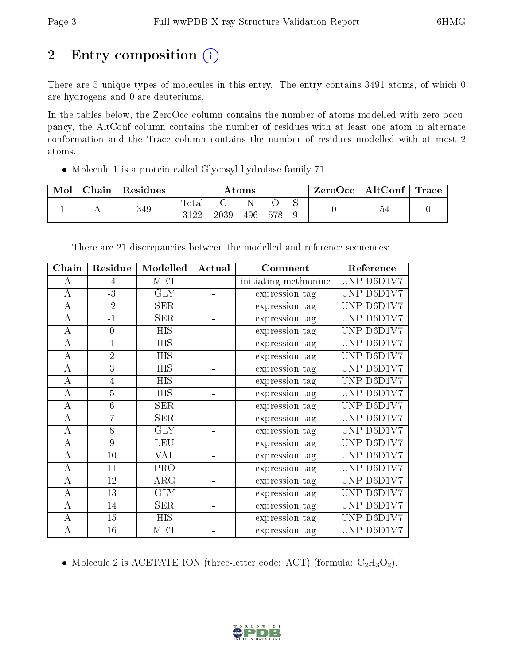# 2 Entry composition (i)

There are 5 unique types of molecules in this entry. The entry contains 3491 atoms, of which 0 are hydrogens and 0 are deuteriums.

In the tables below, the ZeroOcc column contains the number of atoms modelled with zero occupancy, the AltConf column contains the number of residues with at least one atom in alternate conformation and the Trace column contains the number of residues modelled with at most 2 atoms.

Molecule 1 is a protein called Glycosyl hydrolase family 71.

| Mol | Chain | Residues | Atoms                |      |     | $\pm$ ZeroOcc $\pm$ | $\mid$ AltConf $\mid$ | Trace |  |  |
|-----|-------|----------|----------------------|------|-----|---------------------|-----------------------|-------|--|--|
|     |       | 349      | <b>Total</b><br>2199 | 2039 | 496 |                     |                       |       |  |  |

| Chain            | Residue        | Modelled   | Actual                       | Comment               | Reference       |
|------------------|----------------|------------|------------------------------|-----------------------|-----------------|
| А                | $-4$           | <b>MET</b> |                              | initiating methionine | UNP D6D1V7      |
| A                | $-3$           | <b>GLY</b> | ÷.                           | expression tag        | UNP  <br>D6D1V7 |
| А                | $-2$           | <b>SER</b> |                              | expression tag        | UNP D6D1V7      |
| А                | $-1$           | <b>SER</b> |                              | expression tag        | UNP D6D1V7      |
| А                | $\theta$       | <b>HIS</b> | -                            | expression tag        | UNP D6D1V7      |
| $\overline{A}$   | $\overline{1}$ | <b>HIS</b> | $\blacksquare$               | expression tag        | UNP D6D1V7      |
| А                | $\overline{2}$ | <b>HIS</b> |                              | expression tag        | UNP D6D1V7      |
| $\bf{A}$         | 3              | <b>HIS</b> |                              | expression tag        | UNP D6D1V7      |
| $\boldsymbol{A}$ | $\overline{4}$ | <b>HIS</b> |                              | expression tag        | UNP D6D1V7      |
| A                | 5              | <b>HIS</b> | -                            | expression tag        | UNP D6D1V7      |
| $\boldsymbol{A}$ | 6              | <b>SER</b> | $\qquad \qquad \blacksquare$ | expression tag        | UNP D6D1V7      |
| A                | 7              | <b>SER</b> |                              | expression tag        | UNP D6D1V7      |
| $\bf{A}$         | 8              | <b>GLY</b> |                              | expression tag        | UNP D6D1V7      |
| А                | 9              | <b>LEU</b> |                              | expression tag        | UNP D6D1V7      |
| А                | 10             | VAL        | -                            | expression tag        | UNP D6D1V7      |
| $\overline{A}$   | 11             | PRO        | $\overline{\phantom{0}}$     | expression tag        | UNP D6D1V7      |
| А                | 12             | $\rm{ARG}$ |                              | expression tag        | UNP D6D1V7      |
| А                | 13             | <b>GLY</b> |                              | expression tag        | UNP D6D1V7      |
| А                | 14             | <b>SER</b> |                              | expression tag        | UNP D6D1V7      |
| А                | 15             | <b>HIS</b> | $\blacksquare$               | expression tag        | UNP D6D1V7      |
| $\bf{A}$         | 16             | MET        |                              | expression tag        | UNP D6D1V7      |

There are 21 discrepancies between the modelled and reference sequences:

• Molecule 2 is ACETATE ION (three-letter code: ACT) (formula:  $C_2H_3O_2$ ).

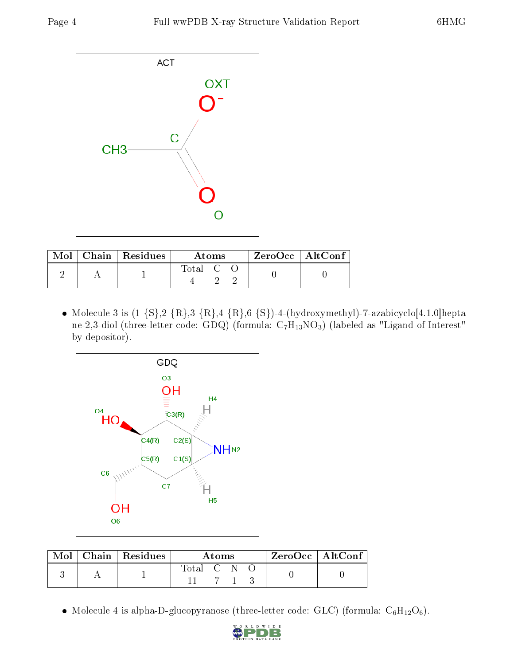

|  | $\text{Mol}$   Chain   Residues | Atoms   |  |  | ZeroOcc   AltConf |  |
|--|---------------------------------|---------|--|--|-------------------|--|
|  |                                 | Total C |  |  |                   |  |

• Molecule 3 is  $(1 \{S\}, 2 \{R\}, 3 \{R\}, 4 \{R\}, 6 \{S\})$ -4-(hydroxymethyl)-7-azabicyclo[4.1.0]hepta ne-2,3-diol (three-letter code: GDQ) (formula:  $\mathrm{C_7H_{13}NO_3})$  (labeled as "Ligand of Interest" by depositor).



|  | $\text{Mol}$   Chain   Residues | Atoms       |  |  |  | $ZeroOcc \mid AltConf \mid$ |
|--|---------------------------------|-------------|--|--|--|-----------------------------|
|  |                                 | Total C N O |  |  |  |                             |

 $\bullet$  Molecule 4 is alpha-D-glucopyranose (three-letter code: GLC) (formula:  $\mathrm{C}_6\mathrm{H}_{12}\mathrm{O}_6$ ).

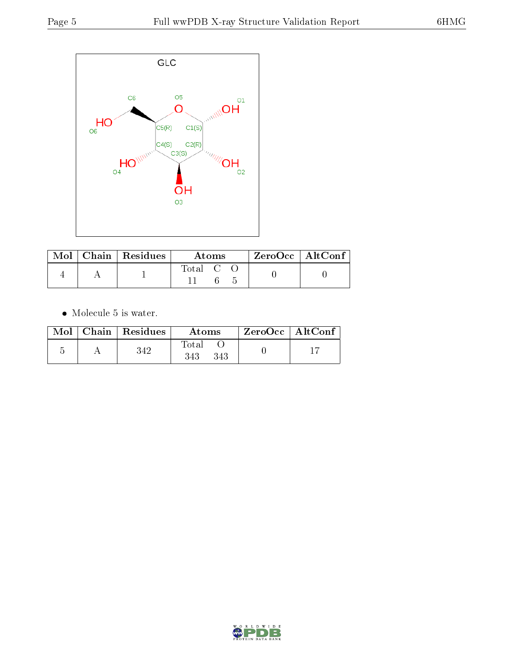

|  | $\text{Mol}$   Chain   Residues | Atoms     |  |  | $ZeroOcc \   \ AltConf$ |  |
|--|---------------------------------|-----------|--|--|-------------------------|--|
|  |                                 | Total C O |  |  |                         |  |

 $\bullet\,$  Molecule 5 is water.

|  | $Mol$   Chain   Residues | Atoms               | ZeroOcc   AltConf |  |
|--|--------------------------|---------------------|-------------------|--|
|  | 342                      | Total<br>343<br>343 |                   |  |

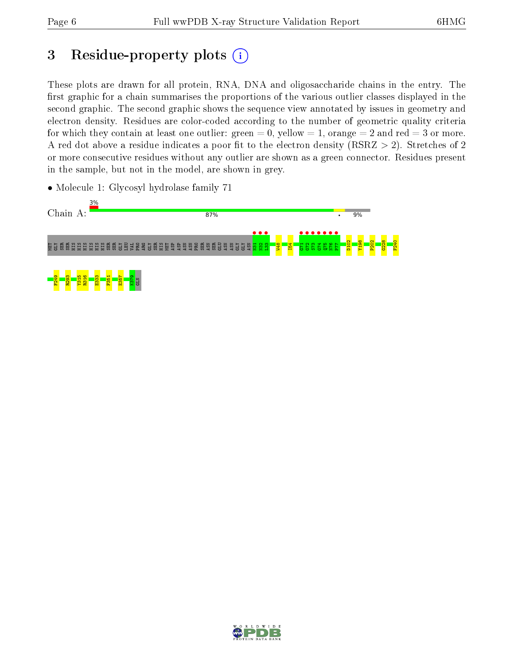# 3 Residue-property plots  $(i)$

These plots are drawn for all protein, RNA, DNA and oligosaccharide chains in the entry. The first graphic for a chain summarises the proportions of the various outlier classes displayed in the second graphic. The second graphic shows the sequence view annotated by issues in geometry and electron density. Residues are color-coded according to the number of geometric quality criteria for which they contain at least one outlier: green  $= 0$ , yellow  $= 1$ , orange  $= 2$  and red  $= 3$  or more. A red dot above a residue indicates a poor fit to the electron density ( $RSRZ > 2$ ). Stretches of 2 or more consecutive residues without any outlier are shown as a green connector. Residues present in the sample, but not in the model, are shown in grey.



• Molecule 1: Glycosyl hydrolase family 71

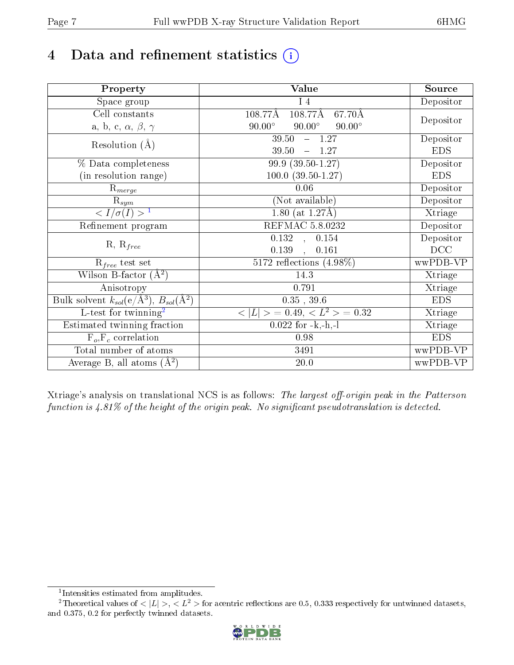# 4 Data and refinement statistics  $(i)$

| Property                                                             | <b>Value</b>                                    | Source     |
|----------------------------------------------------------------------|-------------------------------------------------|------------|
| Space group                                                          | 14                                              | Depositor  |
| Cell constants                                                       | $108.77\text{\AA}$<br>108.77Å<br>67.70Å         |            |
| a, b, c, $\alpha$ , $\beta$ , $\gamma$                               | $90.00^\circ$<br>$90.00^\circ$<br>$90.00^\circ$ | Depositor  |
| Resolution $(A)$                                                     | 39.50<br>$-1.27$                                | Depositor  |
|                                                                      | $-1.27$<br>39.50                                | <b>EDS</b> |
| % Data completeness                                                  | 99.9 (39.50-1.27)                               | Depositor  |
| (in resolution range)                                                | $100.0$ $(39.50 - 1.27)$                        | <b>EDS</b> |
| $R_{merge}$                                                          | 0.06                                            | Depositor  |
| $\mathrm{R}_{sym}$                                                   | (Not available)                                 | Depositor  |
| $\langle I/\sigma(I) \rangle^{-1}$                                   | $1.80$ (at 1.27Å)                               | Xtriage    |
| Refinement program                                                   | REFMAC 5.8.0232                                 | Depositor  |
|                                                                      | $\overline{0.132}$ ,<br>0.154                   | Depositor  |
| $R, R_{free}$                                                        | 0.139<br>0.161                                  | DCC        |
| $R_{free}$ test set                                                  | 5172 reflections $(4.98\%)$                     | wwPDB-VP   |
| Wilson B-factor $(A^2)$                                              | 14.3                                            | Xtriage    |
| Anisotropy                                                           | 0.791                                           | Xtriage    |
| Bulk solvent $k_{sol}(e/\mathring{A}^3)$ , $B_{sol}(\mathring{A}^2)$ | $0.35$ , $39.6$                                 | <b>EDS</b> |
| L-test for twinning <sup>2</sup>                                     | $>$ = 0.49, < $L^2$ > = 0.32<br>< L             | Xtriage    |
| Estimated twinning fraction                                          | $0.022$ for $-k,-h,-l$                          | Xtriage    |
| $F_o, F_c$ correlation                                               | 0.98                                            | <b>EDS</b> |
| Total number of atoms                                                | 3491                                            | wwPDB-VP   |
| Average B, all atoms $(A^2)$                                         | $20.0\,$                                        | wwPDB-VP   |

Xtriage's analysis on translational NCS is as follows: The largest off-origin peak in the Patterson function is  $4.81\%$  of the height of the origin peak. No significant pseudotranslation is detected.

<sup>&</sup>lt;sup>2</sup>Theoretical values of  $\langle |L| \rangle$ ,  $\langle L^2 \rangle$  for acentric reflections are 0.5, 0.333 respectively for untwinned datasets, and 0.375, 0.2 for perfectly twinned datasets.



<span id="page-6-1"></span><span id="page-6-0"></span><sup>1</sup> Intensities estimated from amplitudes.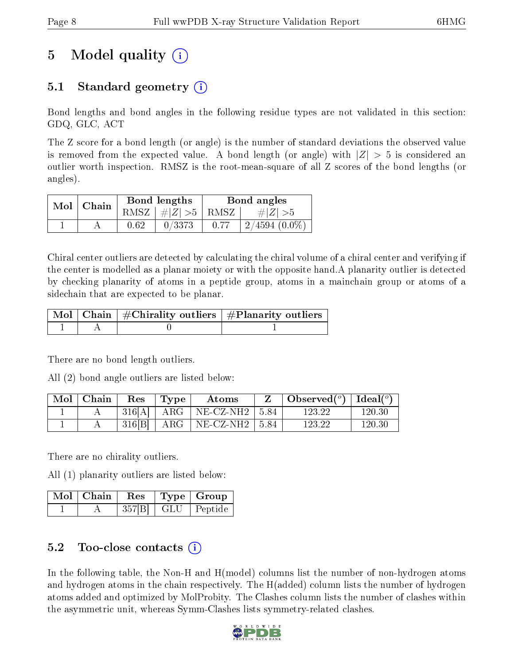# 5 Model quality  $(i)$

### 5.1 Standard geometry (i)

Bond lengths and bond angles in the following residue types are not validated in this section: GDQ, GLC, ACT

The Z score for a bond length (or angle) is the number of standard deviations the observed value is removed from the expected value. A bond length (or angle) with  $|Z| > 5$  is considered an outlier worth inspection. RMSZ is the root-mean-square of all Z scores of the bond lengths (or angles).

| $Mol$   Chain |      | Bond lengths                | Bond angles |                 |  |
|---------------|------|-----------------------------|-------------|-----------------|--|
|               |      | $RMSZ \mid # Z  > 5$   RMSZ |             | $\# Z  > 5$     |  |
|               | 0.62 | 0/3373                      | 0.77        | $2/4594(0.0\%)$ |  |

Chiral center outliers are detected by calculating the chiral volume of a chiral center and verifying if the center is modelled as a planar moiety or with the opposite hand.A planarity outlier is detected by checking planarity of atoms in a peptide group, atoms in a mainchain group or atoms of a sidechain that are expected to be planar.

|  | $\mid$ Mol $\mid$ Chain $\mid$ #Chirality outliers $\mid$ #Planarity outliers $\mid$ |
|--|--------------------------------------------------------------------------------------|
|  |                                                                                      |

There are no bond length outliers.

All (2) bond angle outliers are listed below:

| Mol   Chain | Res    | Type  | Atoms                          | Observed( $^{\circ}$ )   Ideal( $^{\circ}$ ) |            |
|-------------|--------|-------|--------------------------------|----------------------------------------------|------------|
|             | 316[A] | ARG   | $\vert$ NE-CZ-NH2 $\vert$ 5.84 | 123.22                                       | 120.30     |
|             | 316 B  | $ARG$ | $\vert$ NE-CZ-NH2 $\vert$ 5.84 | 123.22                                       | $120.30\,$ |

There are no chirality outliers.

All (1) planarity outliers are listed below:

| Mol Chain | $\cdot$ Res $^{\prime}$ | $\vert$ Type $\vert$ Group $\vert$ |
|-----------|-------------------------|------------------------------------|
|           |                         | $357[B]$   GLU   Peptide           |

### 5.2 Too-close contacts (i)

In the following table, the Non-H and H(model) columns list the number of non-hydrogen atoms and hydrogen atoms in the chain respectively. The H(added) column lists the number of hydrogen atoms added and optimized by MolProbity. The Clashes column lists the number of clashes within the asymmetric unit, whereas Symm-Clashes lists symmetry-related clashes.

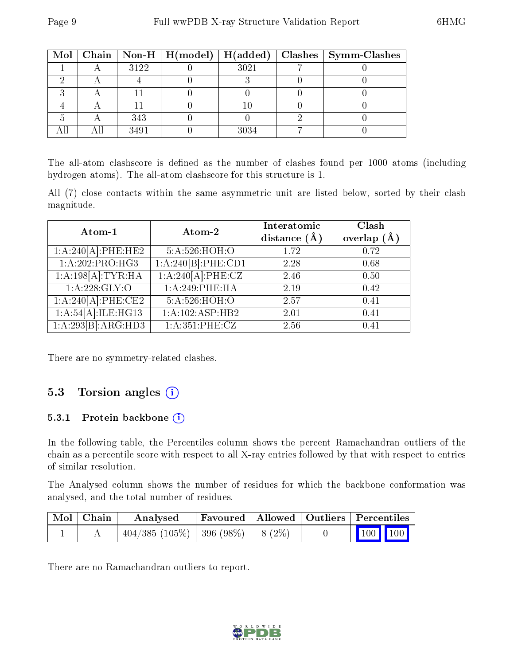|  |      |      | Mol   Chain   Non-H   H(model)   H(added)   Clashes   Symm-Clashes |
|--|------|------|--------------------------------------------------------------------|
|  | 3122 | 3021 |                                                                    |
|  |      |      |                                                                    |
|  |      |      |                                                                    |
|  |      |      |                                                                    |
|  | 343  |      |                                                                    |
|  | 3491 |      |                                                                    |

The all-atom clashscore is defined as the number of clashes found per 1000 atoms (including hydrogen atoms). The all-atom clashscore for this structure is 1.

All (7) close contacts within the same asymmetric unit are listed below, sorted by their clash magnitude.

| Atom-1             | Atom-2             | Interatomic<br>distance $(A)$ | Clash<br>overlap $(A)$ |
|--------------------|--------------------|-------------------------------|------------------------|
| 1:A:240[A]:PHE:HE2 | 5:A:526:HOH:O      | 1.72                          | 0.72                   |
| 1:A:202:PRO:HG3    | 1:A:240[B]:PHE:CD1 | 2.28                          | 0.68                   |
| 1:A:198[A]:TYR:HA  | 1:A:240[A]:PHE:CZ  | 2.46                          | 0.50                   |
| 1: A:228: GLY:O    | 1:A:249:PHE:HA     | 2.19                          | 0.42                   |
| 1:A:240[A]:PHE:CE2 | 5:A:526:HOH:O      | 2.57                          | 0.41                   |
| 1:A:54[A]:ILE:HG13 | 1:A:102:ASP:HB2    | 2.01                          | 0.41                   |
| 1:A:293[B]:ARG:HD3 | 1:A:351:PHE:CZ     | 2.56                          | 0.41                   |

There are no symmetry-related clashes.

#### 5.3 Torsion angles  $(i)$

#### 5.3.1 Protein backbone  $(i)$

In the following table, the Percentiles column shows the percent Ramachandran outliers of the chain as a percentile score with respect to all X-ray entries followed by that with respect to entries of similar resolution.

The Analysed column shows the number of residues for which the backbone conformation was analysed, and the total number of residues.

| Mol   Chain | Analysed                               |  | Favoured   Allowed   Outliers   Percentiles |  |
|-------------|----------------------------------------|--|---------------------------------------------|--|
|             | $404/385 (105\%)$ 396 (98\%)   8 (2\%) |  | $\boxed{100}$ $\boxed{100}$                 |  |

There are no Ramachandran outliers to report.

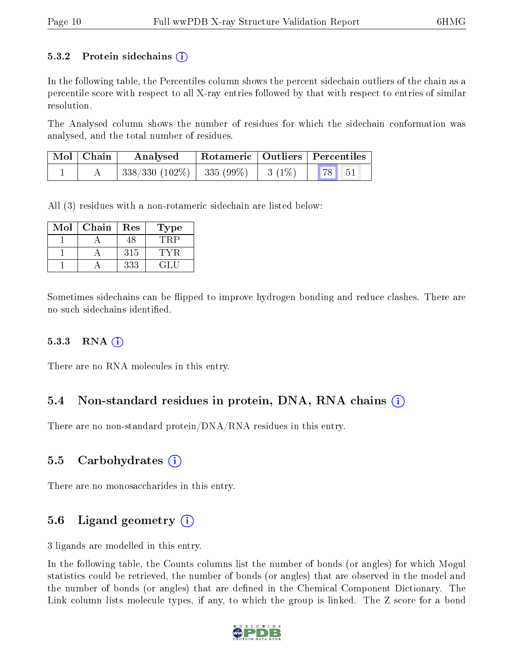#### 5.3.2 Protein sidechains  $(i)$

In the following table, the Percentiles column shows the percent sidechain outliers of the chain as a percentile score with respect to all X-ray entries followed by that with respect to entries of similar resolution.

The Analysed column shows the number of residues for which the sidechain conformation was analysed, and the total number of residues.

| $\text{Mol} \mid \text{Chain}$ | Analysed                                 | $\perp$ Rotameric $\perp$ Outliers $\perp$ Percentiles |         |  |
|--------------------------------|------------------------------------------|--------------------------------------------------------|---------|--|
|                                | $338/330$ (102\%)   335 (99\%)   3 (1\%) |                                                        | 78   51 |  |

All (3) residues with a non-rotameric sidechain are listed below:

| Mol | Chain | Res | Type   |
|-----|-------|-----|--------|
|     |       | 48  |        |
|     |       | 315 |        |
|     |       | 333 | 72 E.H |

Sometimes sidechains can be flipped to improve hydrogen bonding and reduce clashes. There are no such sidechains identified.

#### 5.3.3 RNA [O](https://www.wwpdb.org/validation/2017/XrayValidationReportHelp#rna)i

There are no RNA molecules in this entry.

#### 5.4 Non-standard residues in protein, DNA, RNA chains (i)

There are no non-standard protein/DNA/RNA residues in this entry.

#### 5.5 Carbohydrates (i)

There are no monosaccharides in this entry.

### 5.6 Ligand geometry (i)

3 ligands are modelled in this entry.

In the following table, the Counts columns list the number of bonds (or angles) for which Mogul statistics could be retrieved, the number of bonds (or angles) that are observed in the model and the number of bonds (or angles) that are dened in the Chemical Component Dictionary. The Link column lists molecule types, if any, to which the group is linked. The Z score for a bond

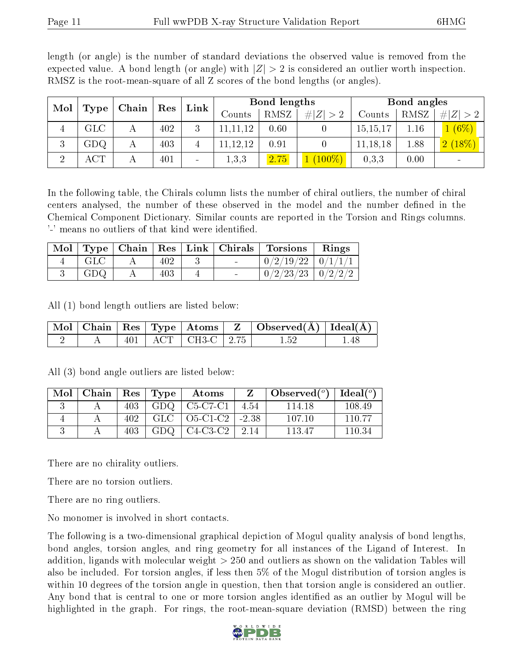| Mol            |           |       |     | <b>Bond lengths</b><br>Link |              |      | Bond angles |          |      |             |
|----------------|-----------|-------|-----|-----------------------------|--------------|------|-------------|----------|------|-------------|
|                | Type      | Chain | Res |                             | Counts       | RMSZ | H Z <br>>2  | Counts   | RMSZ | # $ Z  > 2$ |
| 4              | GLC       |       | 402 | 3                           | 11,12        | 0.60 |             | 15,15,17 | 1.16 | $(6\%)$     |
| 3              | GDQ.      | А     | 403 |                             | ,12,12<br>11 | 0.91 |             | 11,18,18 | 1.88 | 2(18%)      |
| $\overline{2}$ | $\rm ACT$ |       | 401 | $\qquad \qquad$             | 1,3,3        | 2.75 | $(100\%)$   | 0,3,3    | 0.00 |             |

length (or angle) is the number of standard deviations the observed value is removed from the expected value. A bond length (or angle) with  $|Z| > 2$  is considered an outlier worth inspection. RMSZ is the root-mean-square of all Z scores of the bond lengths (or angles).

In the following table, the Chirals column lists the number of chiral outliers, the number of chiral centers analysed, the number of these observed in the model and the number defined in the Chemical Component Dictionary. Similar counts are reported in the Torsion and Rings columns. '-' means no outliers of that kind were identified.

|                   |     |  | Mol   Type   Chain   Res   Link   Chirals   Torsions   Rings |  |
|-------------------|-----|--|--------------------------------------------------------------|--|
| $_{\mathrm{GLC}}$ | 402 |  | $\mid 0/2/19/22 \mid 0/1/1/1$                                |  |
| GDQ.              | 403 |  | $+0/2/23/23 + 0/2/2/2$                                       |  |

All (1) bond length outliers are listed below:

|  |  |                          | $\vert$ Mol $\vert$ Chain $\vert$ Res $\vert$ Type $\vert$ Atoms $\vert$ Z $\vert$ Observed(A) $\vert$ Ideal(A) $\vert$ |        |
|--|--|--------------------------|-------------------------------------------------------------------------------------------------------------------------|--------|
|  |  | 401   ACT   CH3-C   2.75 | $1.52\,$                                                                                                                | - 1.48 |

| Mol | Chain |      | $\mid$ $\text{Res} \mid \text{Type} \mid$ | Atoms      |         | Observed $(°)$ | Ideal $(°)$ |
|-----|-------|------|-------------------------------------------|------------|---------|----------------|-------------|
|     |       | 403  | GDQ.                                      | C5-C7-C1   | 4.54    | 114 18         | 108.49      |
|     |       | 402. | GLC                                       | O5-C1-C2   | $-2.38$ | 107 10         | 110 77      |
|     |       | 403  | GDQ.                                      | $C4-C3-C2$ | 2.14    | 113.47         | 110 34      |

All (3) bond angle outliers are listed below:

There are no chirality outliers.

There are no torsion outliers.

There are no ring outliers.

No monomer is involved in short contacts.

The following is a two-dimensional graphical depiction of Mogul quality analysis of bond lengths, bond angles, torsion angles, and ring geometry for all instances of the Ligand of Interest. In addition, ligands with molecular weight > 250 and outliers as shown on the validation Tables will also be included. For torsion angles, if less then 5% of the Mogul distribution of torsion angles is within 10 degrees of the torsion angle in question, then that torsion angle is considered an outlier. Any bond that is central to one or more torsion angles identified as an outlier by Mogul will be highlighted in the graph. For rings, the root-mean-square deviation (RMSD) between the ring

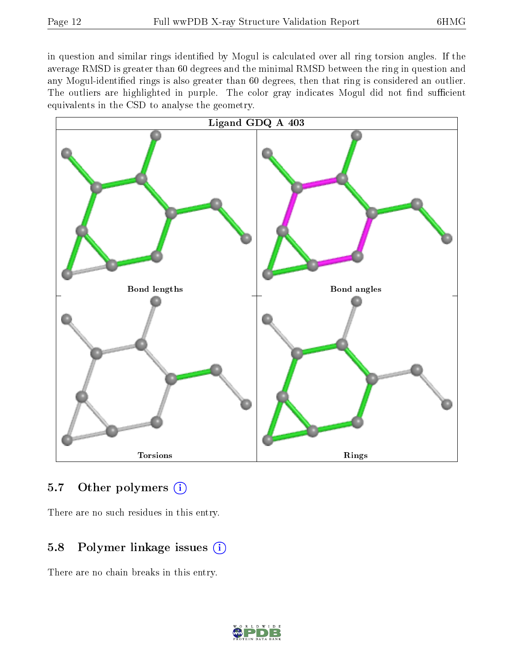in question and similar rings identified by Mogul is calculated over all ring torsion angles. If the average RMSD is greater than 60 degrees and the minimal RMSD between the ring in question and any Mogul-identified rings is also greater than 60 degrees, then that ring is considered an outlier. The outliers are highlighted in purple. The color gray indicates Mogul did not find sufficient equivalents in the CSD to analyse the geometry.



#### 5.7 [O](https://www.wwpdb.org/validation/2017/XrayValidationReportHelp#nonstandard_residues_and_ligands)ther polymers  $(i)$

There are no such residues in this entry.

### 5.8 Polymer linkage issues  $(i)$

There are no chain breaks in this entry.

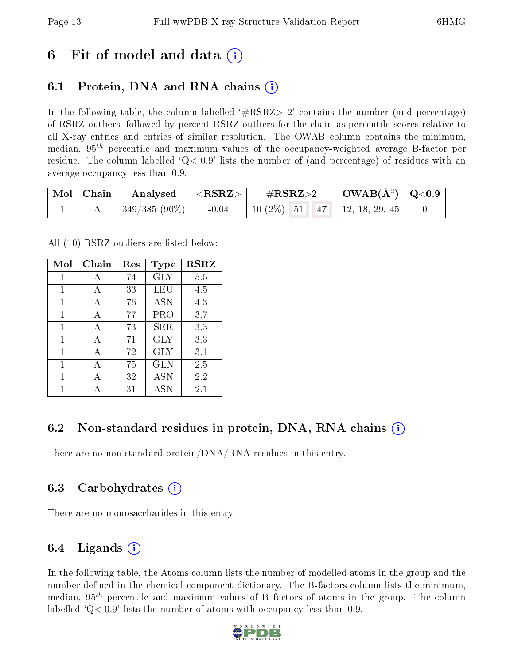## 6 Fit of model and data  $\circ$

## 6.1 Protein, DNA and RNA chains (i)

In the following table, the column labelled  $#RSRZ>2'$  contains the number (and percentage) of RSRZ outliers, followed by percent RSRZ outliers for the chain as percentile scores relative to all X-ray entries and entries of similar resolution. The OWAB column contains the minimum, median,  $95<sup>th</sup>$  percentile and maximum values of the occupancy-weighted average B-factor per residue. The column labelled  $Q< 0.9$  lists the number of (and percentage) of residues with an average occupancy less than 0.9.

| $\mid$ Mol $\mid$ Chain | $\rm{Analysised}$ $  <$ RSRZ $>$ |         | $\#\text{RSRZ}{>}2$                   | $\vert$ OWAB(Å <sup>2</sup> ) $\vert$ Q<0.9 |  |
|-------------------------|----------------------------------|---------|---------------------------------------|---------------------------------------------|--|
|                         | $\mid$ 349/385 (90%) $\mid$      | $-0.04$ | 10 $(2\%)$   51   47   12, 18, 29, 45 |                                             |  |

All (10) RSRZ outliers are listed below:

| Mol | Chain | Res | Type       | <b>RSRZ</b> |
|-----|-------|-----|------------|-------------|
| 1   | A     | 74  | <b>GLY</b> | 5.5         |
| 1   | А     | 33  | LEU        | 4.5         |
| 1   | A     | 76  | <b>ASN</b> | 4.3         |
| 1   | A     | 77  | PRO        | 3.7         |
| 1   | A     | 73  | SER.       | 3.3         |
| 1   | A     | 71  | GLY        | 3.3         |
| 1   | A     | 72  | GLY        | 3.1         |
| 1   | A     | 75  | GLN        | 2.5         |
| 1   |       | 32  | <b>ASN</b> | 2.2         |
| 1   |       | 31  | <b>ASN</b> | $2.1\,$     |

### 6.2 Non-standard residues in protein, DNA, RNA chains (i)

There are no non-standard protein/DNA/RNA residues in this entry.

### 6.3 Carbohydrates (i)

There are no monosaccharides in this entry.

### 6.4 Ligands  $(i)$

In the following table, the Atoms column lists the number of modelled atoms in the group and the number defined in the chemical component dictionary. The B-factors column lists the minimum, median,  $95<sup>th</sup>$  percentile and maximum values of B factors of atoms in the group. The column labelled  $Q< 0.9$ ' lists the number of atoms with occupancy less than 0.9.